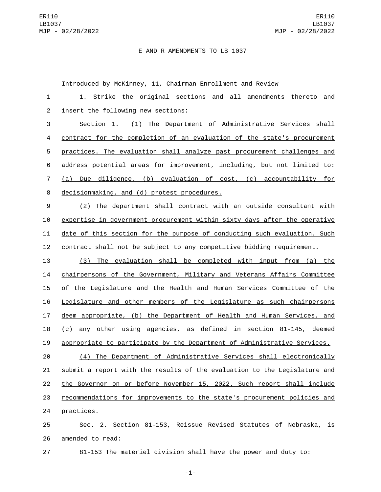## E AND R AMENDMENTS TO LB 1037

Introduced by McKinney, 11, Chairman Enrollment and Review

| $\mathbf{1}$   | 1. Strike the original sections and all amendments thereto<br>and         |
|----------------|---------------------------------------------------------------------------|
| 2              | insert the following new sections:                                        |
| 3              | (1) The Department of Administrative Services shall<br>Section 1.         |
| 4              | contract for the completion of an evaluation of the state's procurement   |
| 5              | practices. The evaluation shall analyze past procurement challenges and   |
| 6              | address potential areas for improvement, including, but not limited to:   |
| $\overline{7}$ | (a) Due diligence, (b) evaluation of cost, (c) accountability for         |
| 8              | decisionmaking, and (d) protest procedures.                               |
| 9              | (2) The department shall contract with an outside consultant with         |
| 10             | expertise in government procurement within sixty days after the operative |
| 11             | date of this section for the purpose of conducting such evaluation. Such  |
| 12             | contract shall not be subject to any competitive bidding requirement.     |
| 13             | The evaluation shall be completed with input from (a) the<br>(3)          |
| 14             | chairpersons of the Government, Military and Veterans Affairs Committee   |
| 15             | of the Legislature and the Health and Human Services Committee of the     |
| 16             | Legislature and other members of the Legislature as such chairpersons     |
| 17             | deem appropriate, (b) the Department of Health and Human Services, and    |
| 18             | (c) any other using agencies, as defined in section 81-145, deemed        |
| 19             | appropriate to participate by the Department of Administrative Services.  |
| 20             | The Department of Administrative Services shall electronically<br>(4)     |
| 21             | submit a report with the results of the evaluation to the Legislature and |
| 22             | the Governor on or before November 15, 2022. Such report shall include    |
| 23             | recommendations for improvements to the state's procurement policies and  |
| 24             | practices.                                                                |
| 25             | Sec. 2. Section 81-153, Reissue Revised Statutes of Nebraska, is          |

26 amended to read:

81-153 The materiel division shall have the power and duty to:

-1-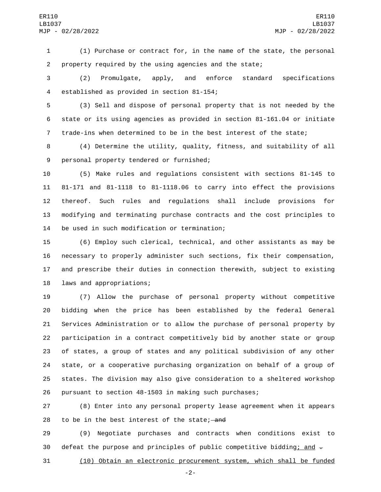(1) Purchase or contract for, in the name of the state, the personal property required by the using agencies and the state;

 (2) Promulgate, apply, and enforce standard specifications 4 established as provided in section 81-154;

 (3) Sell and dispose of personal property that is not needed by the state or its using agencies as provided in section 81-161.04 or initiate trade-ins when determined to be in the best interest of the state;

 (4) Determine the utility, quality, fitness, and suitability of all 9 personal property tendered or furnished;

 (5) Make rules and regulations consistent with sections 81-145 to 81-171 and 81-1118 to 81-1118.06 to carry into effect the provisions thereof. Such rules and regulations shall include provisions for modifying and terminating purchase contracts and the cost principles to 14 be used in such modification or termination;

 (6) Employ such clerical, technical, and other assistants as may be necessary to properly administer such sections, fix their compensation, and prescribe their duties in connection therewith, subject to existing 18 laws and appropriations;

 (7) Allow the purchase of personal property without competitive bidding when the price has been established by the federal General Services Administration or to allow the purchase of personal property by participation in a contract competitively bid by another state or group of states, a group of states and any political subdivision of any other state, or a cooperative purchasing organization on behalf of a group of states. The division may also give consideration to a sheltered workshop pursuant to section 48-1503 in making such purchases;

 (8) Enter into any personal property lease agreement when it appears 28 to be in the best interest of the state; and

 (9) Negotiate purchases and contracts when conditions exist to 30 defeat the purpose and principles of public competitive bidding; and  $\pm$ 

(10) Obtain an electronic procurement system, which shall be funded

-2-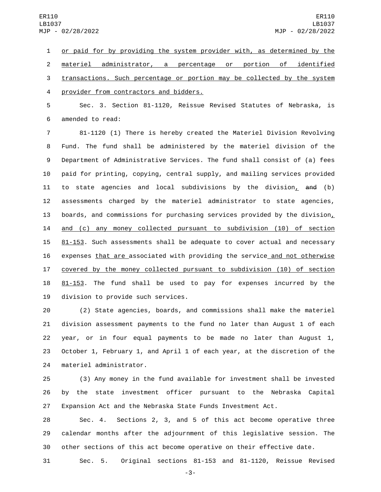1 or paid for by providing the system provider with, as determined by the 2 materiel administrator, a percentage or portion of identified 3 transactions. Such percentage or portion may be collected by the system provider from contractors and bidders.4

5 Sec. 3. Section 81-1120, Reissue Revised Statutes of Nebraska, is 6 amended to read:

 81-1120 (1) There is hereby created the Materiel Division Revolving Fund. The fund shall be administered by the materiel division of the Department of Administrative Services. The fund shall consist of (a) fees paid for printing, copying, central supply, and mailing services provided 11 to state agencies and local subdivisions by the division, and (b) assessments charged by the materiel administrator to state agencies, 13 boards, and commissions for purchasing services provided by the division, and (c) any money collected pursuant to subdivision (10) of section 15 81-153. Such assessments shall be adequate to cover actual and necessary expenses that are associated with providing the service and not otherwise covered by the money collected pursuant to subdivision (10) of section 18 81-153. The fund shall be used to pay for expenses incurred by the 19 division to provide such services.

 (2) State agencies, boards, and commissions shall make the materiel division assessment payments to the fund no later than August 1 of each year, or in four equal payments to be made no later than August 1, October 1, February 1, and April 1 of each year, at the discretion of the 24 materiel administrator.

25 (3) Any money in the fund available for investment shall be invested 26 by the state investment officer pursuant to the Nebraska Capital 27 Expansion Act and the Nebraska State Funds Investment Act.

28 Sec. 4. Sections 2, 3, and 5 of this act become operative three 29 calendar months after the adjournment of this legislative session. The 30 other sections of this act become operative on their effective date.

31 Sec. 5. Original sections 81-153 and 81-1120, Reissue Revised

-3-